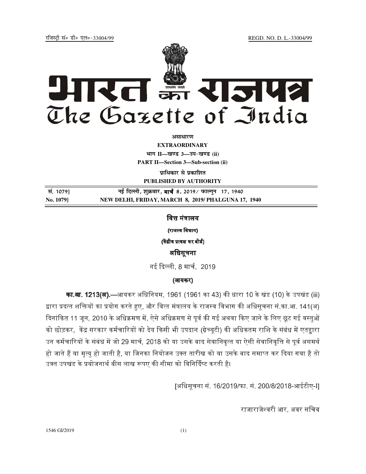jftLVªh laö Mhö ,yö&33004@99 REGD. NO. D. L.-33004/99



**vlk/kj.k**

**EXTRAORDINARY Hkkx II—[k.M 3—mi&[k.M (ii) PART II—Section 3—Sub-section (ii)** 

**प्राधिकार से प्रकाशित PUBLISHED BY AUTHORITY**

 **la- 1079] ubZ fnYyh] 'kqØokj]** - **8] 2019@ iQkYxqu 17] 1940 No. 1079] NEW DELHI, FRIDAY, MARCH 8, 2019/ PHALGUNA 17, 1940**

वित्त मंत्रालय

(राजस्व विभाग)

(केंद्रीय प्रत्यक्ष कर बोर्ड)

# अिधसूचना

नई दिल्ली. 8 मार्च. 2019

## (आयकर)

**का.आ. 1213(अ).**—आयकर अधिनियम, 1961 (1961 का 43) की धारा 10 के खंड (10) के उपखंड (iii) द्वारा प्रदत्त शक्तियों का प्रयोग करते हुए. और वित्त मंत्रालय के राजस्व विभाग की अधिसचना सं.का.आ. 141(अ) दिनांकित 11 जन. 2010 के अधिक्रमण में. ऐसे अधिक्रमण से पर्व की गई अथवा किए जाने के लिए छट गई वस्तओं को छोड़कर. केंद्र सरकार कर्मचारियों को देय किसी भी उपदान (ग्रेच्यटी) की अधिकतम राशि के संबंध में एतहारा उन कर्मचारियों के संबंध में जो 29 मार्च. 2018 को या उसके बाद सेवानिवत्त या ऐसी सेवानिवत्ति से पर्व असमर्थ हो जाते हैं या मत्य हो जाती है. या जिनका नियोजन उक्त तारीख को या उसके बाद समाप्त कर दिया गया है तो उक्त उपखंड के प्रयोजनार्थ बीस लाख रूपए की सीमा को विनिर्दिष्ट करती है।

[अिधसूचना सं. 16/2019/फा. सं. 200/8/2018-आईटीए-I]

राजाराजेश्वरी आर. अवर सचिव

1546 GI/2019 (1)